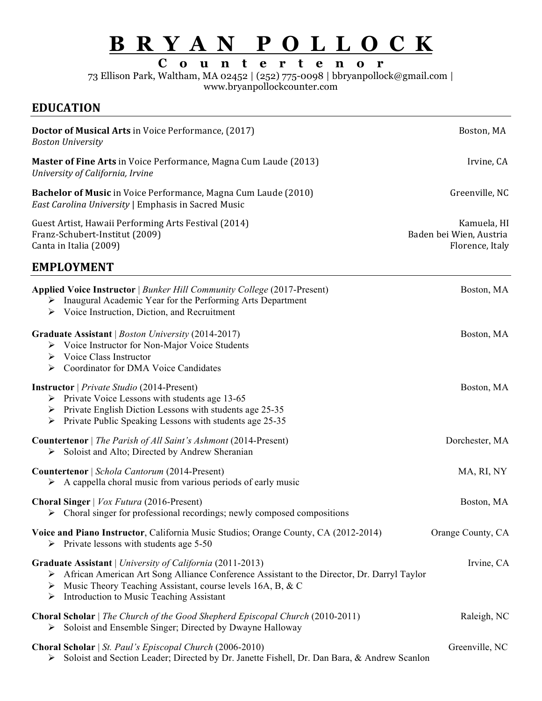# **B R Y A N P O L L O C K**

**C o u n t e r t e n o r**

73 Ellison Park, Waltham, MA 02452 | (252) 775-0098 | bbryanpollock@gmail.com |

www.bryanpollockcounter.com

# **EDUCATION**

| <b>Doctor of Musical Arts</b> in Voice Performance, (2017)<br><b>Boston University</b>                                                                                                                                                                                                    | Boston, MA                                                |
|-------------------------------------------------------------------------------------------------------------------------------------------------------------------------------------------------------------------------------------------------------------------------------------------|-----------------------------------------------------------|
| Master of Fine Arts in Voice Performance, Magna Cum Laude (2013)<br>University of California, Irvine                                                                                                                                                                                      | Irvine, CA                                                |
| Bachelor of Music in Voice Performance, Magna Cum Laude (2010)<br>East Carolina University   Emphasis in Sacred Music                                                                                                                                                                     | Greenville, NC                                            |
| Guest Artist, Hawaii Performing Arts Festival (2014)<br>Franz-Schubert-Institut (2009)<br>Canta in Italia (2009)                                                                                                                                                                          | Kamuela, HI<br>Baden bei Wien, Austria<br>Florence, Italy |
| <b>EMPLOYMENT</b>                                                                                                                                                                                                                                                                         |                                                           |
| Applied Voice Instructor   Bunker Hill Community College (2017-Present)<br>$\triangleright$ Inaugural Academic Year for the Performing Arts Department<br>$\triangleright$ Voice Instruction, Diction, and Recruitment                                                                    | Boston, MA                                                |
| Graduate Assistant   Boston University (2014-2017)<br>$\triangleright$ Voice Instructor for Non-Major Voice Students<br>$\triangleright$ Voice Class Instructor<br>$\triangleright$ Coordinator for DMA Voice Candidates                                                                  | Boston, MA                                                |
| <b>Instructor</b>   Private Studio (2014-Present)<br>$\triangleright$ Private Voice Lessons with students age 13-65<br>$\triangleright$ Private English Diction Lessons with students age 25-35<br>$\triangleright$ Private Public Speaking Lessons with students age 25-35               | Boston, MA                                                |
| <b>Countertenor</b>   The Parish of All Saint's Ashmont (2014-Present)<br>Soloist and Alto; Directed by Andrew Sheranian<br>➤                                                                                                                                                             | Dorchester, MA                                            |
| Countertenor   Schola Cantorum (2014-Present)<br>$\triangleright$ A cappella choral music from various periods of early music                                                                                                                                                             | MA, RI, NY                                                |
| Choral Singer   Vox Futura (2016-Present)<br>> Choral singer for professional recordings; newly composed compositions                                                                                                                                                                     | Boston, MA                                                |
| Voice and Piano Instructor, California Music Studios; Orange County, CA (2012-2014)<br>$\triangleright$ Private lessons with students age 5-50                                                                                                                                            | Orange County, CA                                         |
| Graduate Assistant   University of California (2011-2013)<br>> African American Art Song Alliance Conference Assistant to the Director, Dr. Darryl Taylor<br>$\triangleright$ Music Theory Teaching Assistant, course levels 16A, B, & C<br>Introduction to Music Teaching Assistant<br>➤ | Irvine, CA                                                |
| <b>Choral Scholar</b>   The Church of the Good Shepherd Episcopal Church (2010-2011)<br>Soloist and Ensemble Singer; Directed by Dwayne Halloway<br>➤                                                                                                                                     | Raleigh, NC                                               |
| Choral Scholar   St. Paul's Episcopal Church (2006-2010)<br>Soloist and Section Leader; Directed by Dr. Janette Fishell, Dr. Dan Bara, & Andrew Scanlon<br>➤                                                                                                                              | Greenville, NC                                            |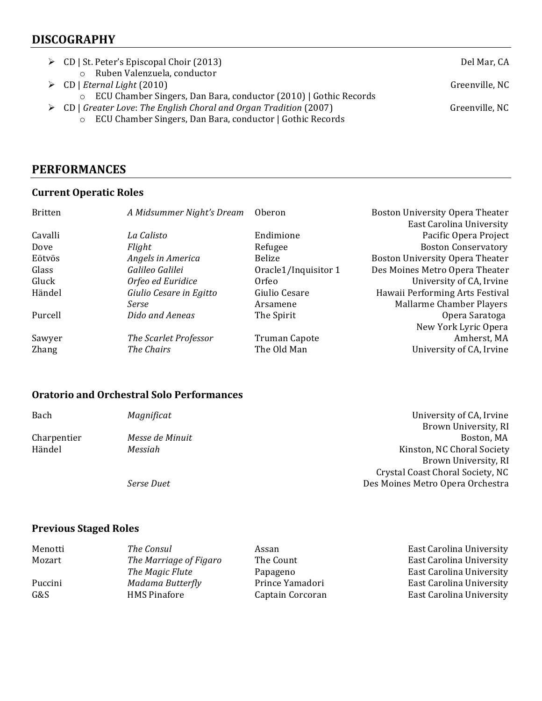## **DISCOGRAPHY**

- → CD | St. Peter's Episcopal Choir (2013) Del Mar, CA o Ruben Valenzuela, conductor **►** CD | *Eternal Light* (2010) Greenville, NC
- - o ECU Chamber Singers, Dan Bara, conductor (2010) | Gothic Records
- **►** CD | Greater Love: The English Choral and Organ Tradition (2007) Creenville, NC
	- o ECU Chamber Singers, Dan Bara, conductor | Gothic Records

### **PERFORMANCES**

#### **Current Operatic Roles**

| <b>Britten</b> | A Midsummer Night's Dream | Oberon               | Boston University Opera Theater |
|----------------|---------------------------|----------------------|---------------------------------|
|                |                           |                      | East Carolina University        |
| Cavalli        | La Calisto                | Endimione            | Pacific Opera Project           |
| Dove           | Flight                    | Refugee              | <b>Boston Conservatory</b>      |
| Eötvös         | Angels in America         | Belize               | Boston University Opera Theater |
| Glass          | Galileo Galilei           | Oracle1/Inquisitor 1 | Des Moines Metro Opera Theater  |
| Gluck          | Orfeo ed Euridice         | Orfeo                | University of CA, Irvine        |
| Händel         | Giulio Cesare in Egitto   | Giulio Cesare        | Hawaii Performing Arts Festival |
|                | Serse                     | Arsamene             | Mallarme Chamber Players        |
| Purcell        | Dido and Aeneas           | The Spirit           | Opera Saratoga                  |
|                |                           |                      | New York Lyric Opera            |
| Sawyer         | The Scarlet Professor     | <b>Truman Capote</b> | Amherst, MA                     |
| Zhang          | The Chairs                | The Old Man          | University of CA, Irvine        |

#### **Oratorio and Orchestral Solo Performances**

| Bach        | Magnificat      | University of CA, Irvine         |
|-------------|-----------------|----------------------------------|
|             |                 | Brown University, RI             |
| Charpentier | Messe de Minuit | Boston, MA                       |
| Händel      | Messiah         | Kinston, NC Choral Society       |
|             |                 | Brown University, RI             |
|             |                 | Crystal Coast Choral Society, NC |
|             | Serse Duet      | Des Moines Metro Opera Orchestra |

#### **Previous Staged Roles**

| Menotti | The Consul             | Assan            | East Carolina University |
|---------|------------------------|------------------|--------------------------|
| Mozart  | The Marriage of Figaro | The Count        | East Carolina University |
|         | The Magic Flute        | Papageno         | East Carolina University |
| Puccini | Madama Butterfly       | Prince Yamadori  | East Carolina University |
| G&S     | <b>HMS Pinafore</b>    | Captain Corcoran | East Carolina University |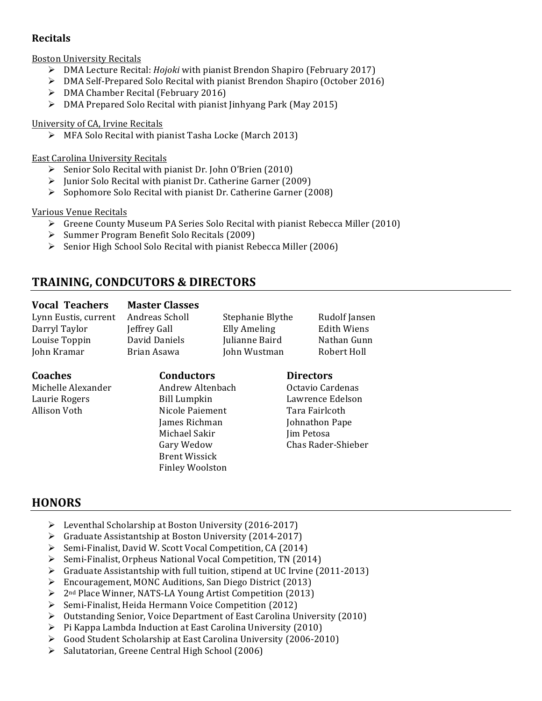### **Recitals**

Boston University Recitals

- Ø DMA Lecture Recital: *Hojoki* with pianist Brendon Shapiro (February 2017)
- $\triangleright$  DMA Self-Prepared Solo Recital with pianist Brendon Shapiro (October 2016)
- $\triangleright$  DMA Chamber Recital (February 2016)
- $\triangleright$  DMA Prepared Solo Recital with pianist linhyang Park (May 2015)

#### University of CA, Irvine Recitals

 $\triangleright$  MFA Solo Recital with pianist Tasha Locke (March 2013)

#### East Carolina University Recitals

- $\triangleright$  Senior Solo Recital with pianist Dr. John O'Brien (2010)
- $\triangleright$  Junior Solo Recital with pianist Dr. Catherine Garner (2009)
- $\triangleright$  Sophomore Solo Recital with pianist Dr. Catherine Garner (2008)

#### Various Venue Recitals

- $\triangleright$  Greene County Museum PA Series Solo Recital with pianist Rebecca Miller (2010)
- $\triangleright$  Summer Program Benefit Solo Recitals (2009)
- $\triangleright$  Senior High School Solo Recital with pianist Rebecca Miller (2006)

# **TRAINING, CONDCUTORS & DIRECTORS**

#### **Vocal Teachers Master Classes**

Lynn Eustis, current Andreas Scholl Stephanie Blythe Rudolf Jansen Darryl Taylor **Jeffrey Gall** Elly Ameling Edith Wiens Louise Toppin David Daniels Julianne Baird Nathan Gunn John Kramar Brian Asawa John Wustman Robert Holl

**Coaches Conductors Directors** Michelle Alexander Andrew Altenbach Octavio Cardenas Laurie Rogers **Bill Lumpkin** Lawrence Edelson Allison Voth **Nicole Paiement** Tara Fairlcoth Michael Sakir Jim Petosa Brent Wissick

James Richman Johnathon Pape Gary Wedow Chas Rader-Shieber

# **HONORS**

- $\triangleright$  Leventhal Scholarship at Boston University (2016-2017)
- $\triangleright$  Graduate Assistantship at Boston University (2014-2017)
- $\triangleright$  Semi-Finalist, David W. Scott Vocal Competition, CA (2014)
- $\triangleright$  Semi-Finalist, Orpheus National Vocal Competition, TN (2014)

Finley Woolston

- $\triangleright$  Graduate Assistantship with full tuition, stipend at UC Irvine (2011-2013)
- $\triangleright$  Encouragement, MONC Auditions, San Diego District (2013)
- $\triangleright$  2<sup>nd</sup> Place Winner, NATS-LA Young Artist Competition (2013)
- $\triangleright$  Semi-Finalist, Heida Hermann Voice Competition (2012)
- $\triangleright$  Outstanding Senior, Voice Department of East Carolina University (2010)
- $\triangleright$  Pi Kappa Lambda Induction at East Carolina University (2010)
- $\triangleright$  Good Student Scholarship at East Carolina University (2006-2010)
- $\triangleright$  Salutatorian, Greene Central High School (2006)